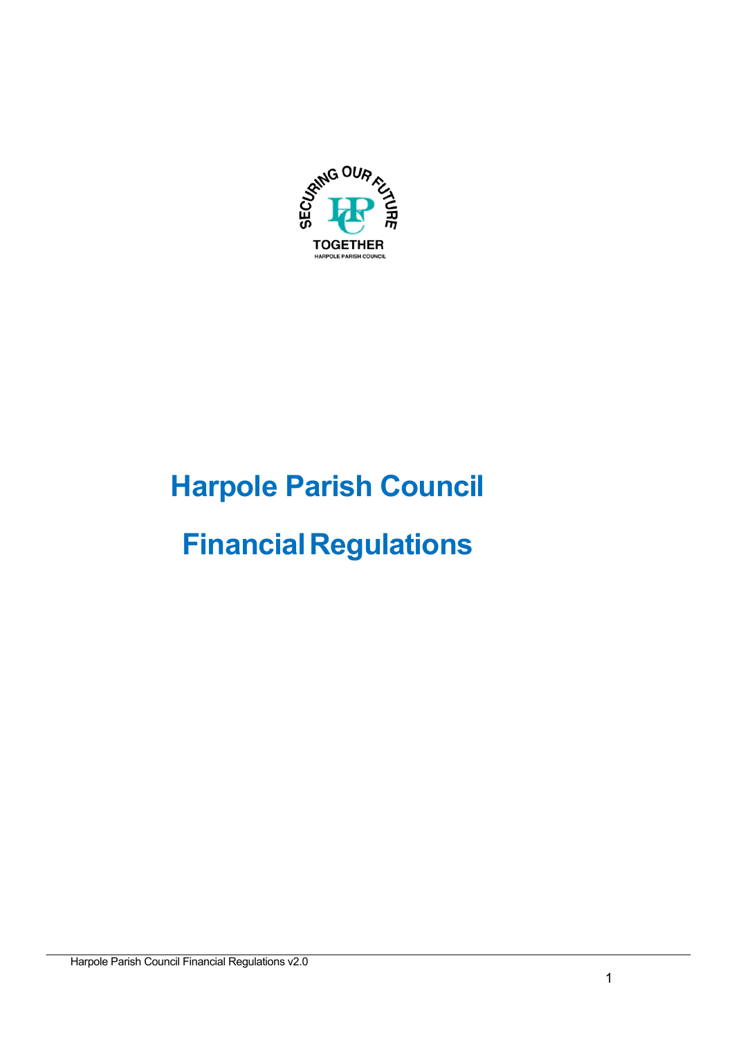

# **Harpole Parish Council**

# **FinancialRegulations**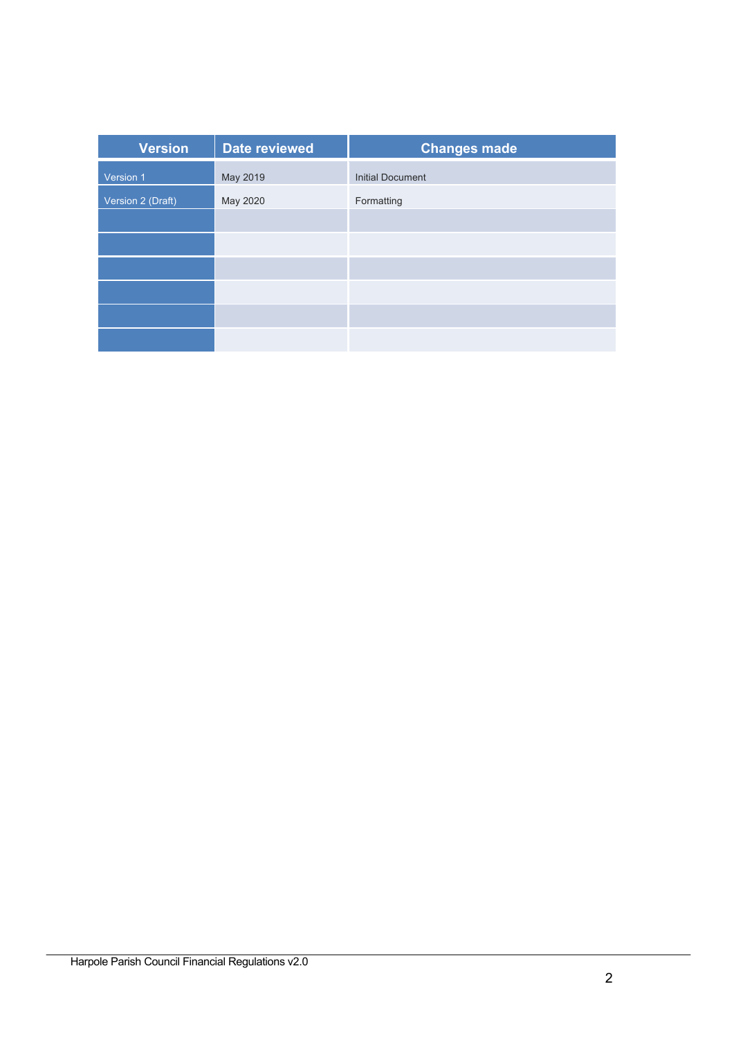| <b>Version</b>    | <b>Date reviewed</b> | <b>Changes made</b>     |
|-------------------|----------------------|-------------------------|
| Version 1         | May 2019             | <b>Initial Document</b> |
| Version 2 (Draft) | May 2020             | Formatting              |
|                   |                      |                         |
|                   |                      |                         |
|                   |                      |                         |
|                   |                      |                         |
|                   |                      |                         |
|                   |                      |                         |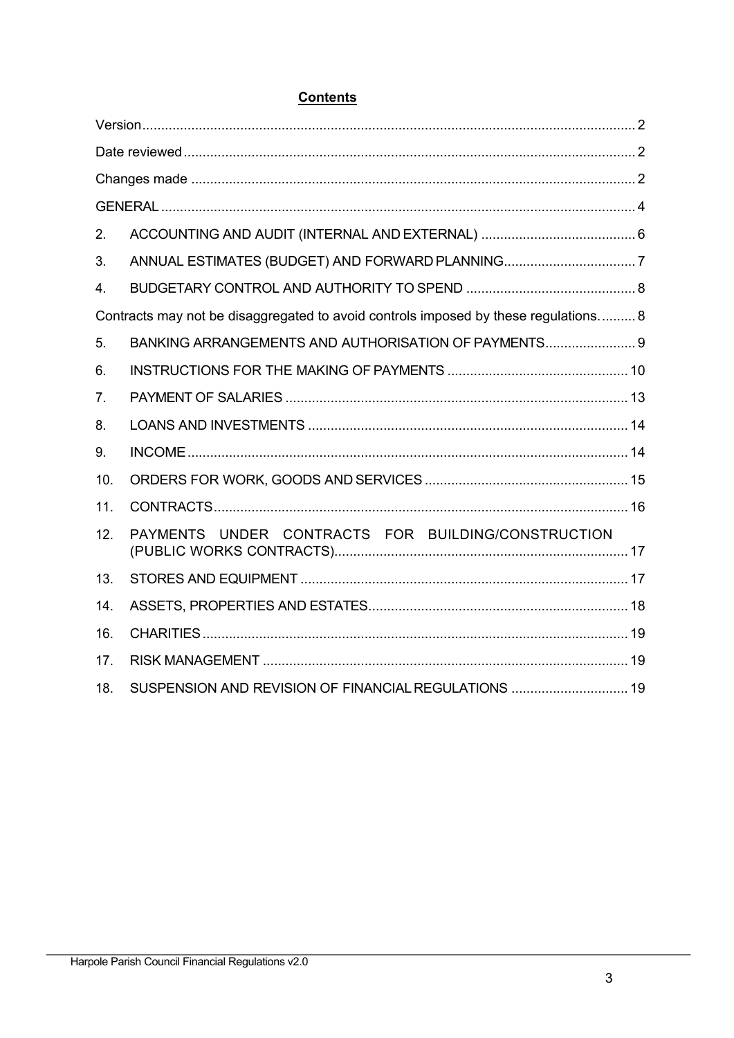# **Contents**

| 2.                                                                                  |                                                      |  |  |
|-------------------------------------------------------------------------------------|------------------------------------------------------|--|--|
| 3.                                                                                  |                                                      |  |  |
| 4.                                                                                  |                                                      |  |  |
| Contracts may not be disaggregated to avoid controls imposed by these regulations 8 |                                                      |  |  |
| 5.                                                                                  | BANKING ARRANGEMENTS AND AUTHORISATION OF PAYMENTS 9 |  |  |
| 6.                                                                                  |                                                      |  |  |
| 7.                                                                                  |                                                      |  |  |
| 8.                                                                                  |                                                      |  |  |
| 9.                                                                                  |                                                      |  |  |
| 10.                                                                                 |                                                      |  |  |
| 11.                                                                                 |                                                      |  |  |
| 12.                                                                                 | PAYMENTS UNDER CONTRACTS FOR BUILDING/CONSTRUCTION   |  |  |
| 13.                                                                                 |                                                      |  |  |
| 14.                                                                                 |                                                      |  |  |
| 16.                                                                                 |                                                      |  |  |
| 17.                                                                                 |                                                      |  |  |
| 18.                                                                                 | SUSPENSION AND REVISION OF FINANCIAL REGULATIONS  19 |  |  |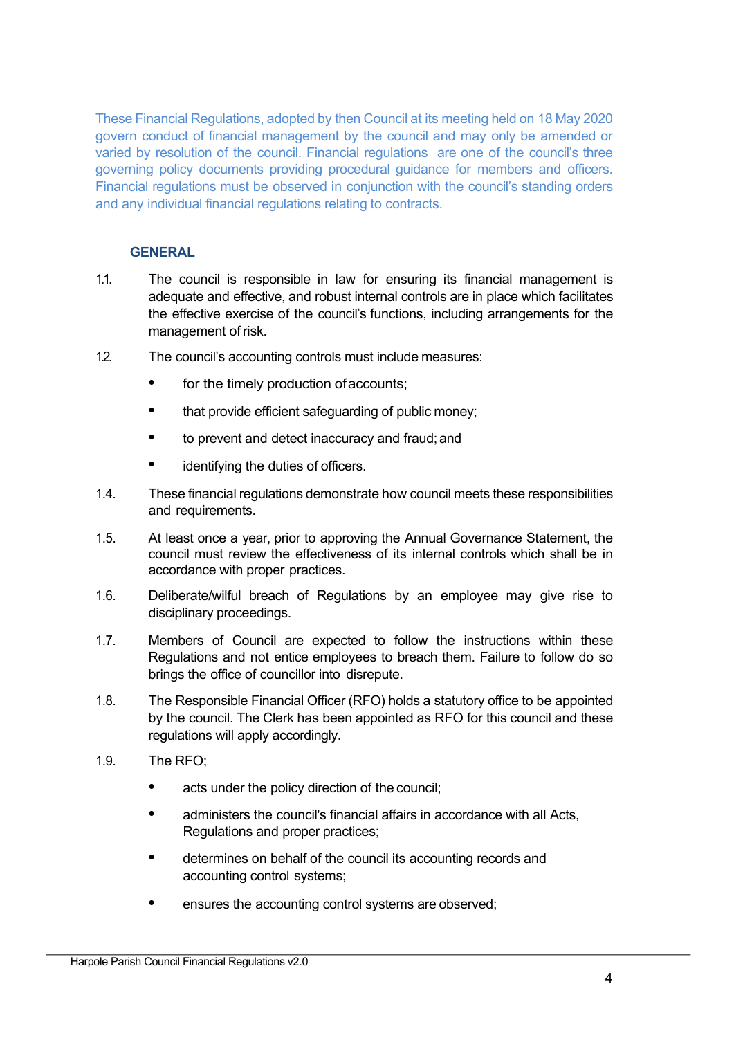These Financial Regulations, adopted by then Council at its meeting held on 18 May 2020 govern conduct of financial management by the council and may only be amended or varied by resolution of the council. Financial regulations are one of the council's three governing policy documents providing procedural guidance for members and officers. Financial regulations must be observed in conjunction with the council's standing orders and any individual financial regulations relating to contracts.

#### **GENERAL**

- 1.1. The council is responsible in law for ensuring its financial management is adequate and effective, and robust internal controls are in place which facilitates the effective exercise of the council's functions, including arrangements for the management of risk.
- 12. The council's accounting controls must include measures:
	- for the timely production of accounts;
	- that provide efficient safeguarding of public money;
	- to prevent and detect inaccuracy and fraud; and
	- identifying the duties of officers.
- 1.4. These financial regulations demonstrate how council meets these responsibilities and requirements.
- 1.5. At least once a year, prior to approving the Annual Governance Statement, the council must review the effectiveness of its internal controls which shall be in accordance with proper practices.
- 1.6. Deliberate/wilful breach of Regulations by an employee may give rise to disciplinary proceedings.
- 1.7. Members of Council are expected to follow the instructions within these Regulations and not entice employees to breach them. Failure to follow do so brings the office of councillor into disrepute.
- 1.8. The Responsible Financial Officer (RFO) holds a statutory office to be appointed by the council. The Clerk has been appointed as RFO for this council and these regulations will apply accordingly.
- 1.9. The RFO;
	- acts under the policy direction of the council;
	- administers the council's financial affairs in accordance with all Acts, Regulations and proper practices;
	- determines on behalf of the council its accounting records and accounting control systems;
	- ensures the accounting control systems are observed;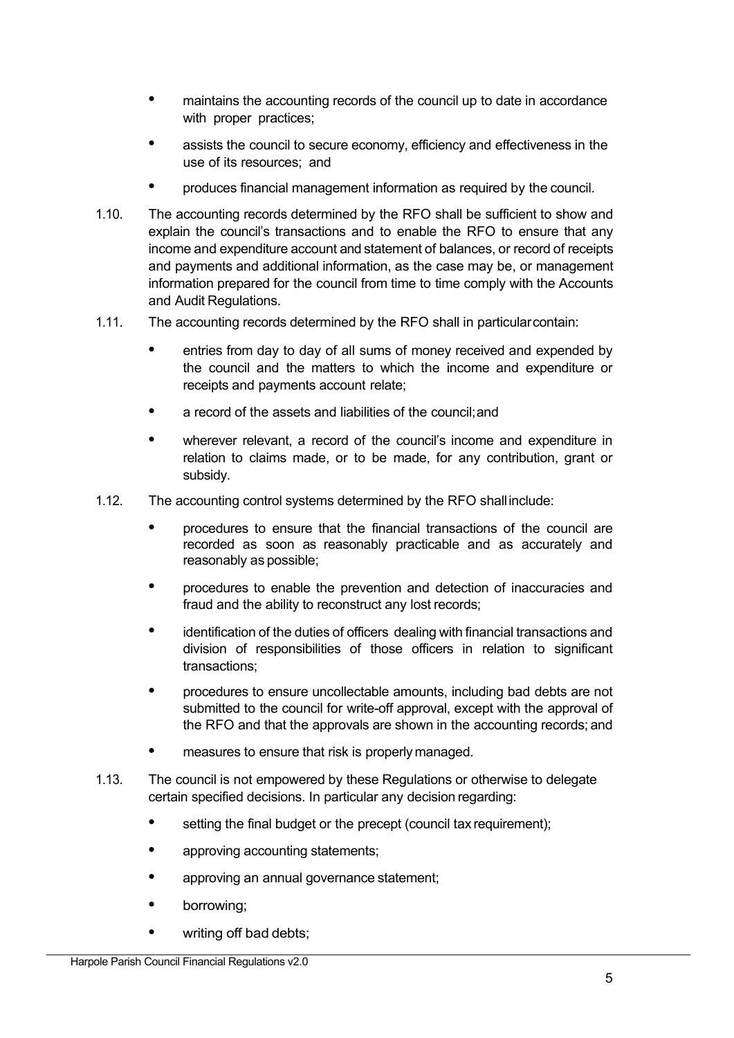- maintains the accounting records of the council up to date in accordance with proper practices;
- assists the council to secure economy, efficiency and effectiveness in the use of its resources; and
- produces financial management information as required by the council.
- 1.10. The accounting records determined by the RFO shall be sufficient to show and explain the council's transactions and to enable the RFO to ensure that any income and expenditure account and statement of balances, or record of receipts and payments and additional information, as the case may be, or management information prepared for the council from time to time comply with the Accounts and Audit Regulations.
- 1.11. The accounting records determined by the RFO shall in particularcontain:
	- entries from day to day of all sums of money received and expended by the council and the matters to which the income and expenditure or receipts and payments account relate;
	- a record of the assets and liabilities of the council;and
	- wherever relevant, a record of the council's income and expenditure in relation to claims made, or to be made, for any contribution, grant or subsidy.
- 1.12. The accounting control systems determined by the RFO shallinclude:
	- procedures to ensure that the financial transactions of the council are recorded as soon as reasonably practicable and as accurately and reasonably as possible;
	- procedures to enable the prevention and detection of inaccuracies and fraud and the ability to reconstruct any lost records;
	- identification of the duties of officers dealing with financial transactions and division of responsibilities of those officers in relation to significant transactions;
	- procedures to ensure uncollectable amounts, including bad debts are not submitted to the council for write-off approval, except with the approval of the RFO and that the approvals are shown in the accounting records; and
	- measures to ensure that risk is properly managed.
- 1.13. The council is not empowered by these Regulations or otherwise to delegate certain specified decisions. In particular any decision regarding:
	- setting the final budget or the precept (council tax requirement);
	- approving accounting statements;
	- approving an annual governance statement;
	- borrowing;
	- writing off bad debts;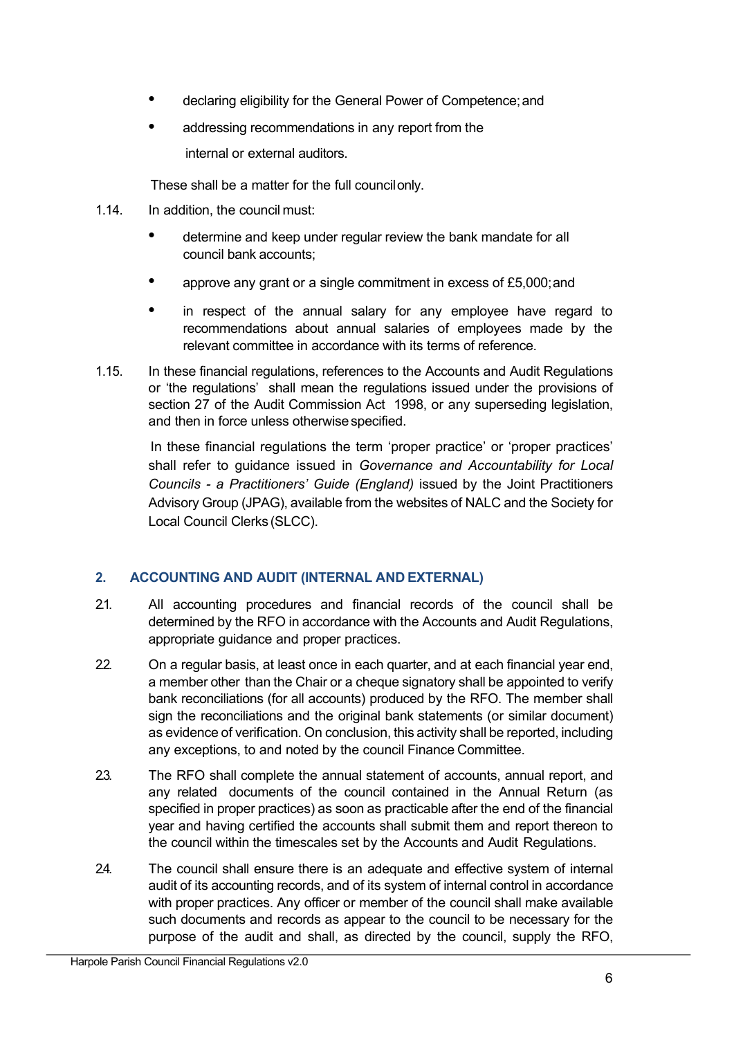- declaring eligibility for the General Power of Competence; and
- addressing recommendations in any report from the internal or external auditors.

These shall be a matter for the full councilonly.

- 1.14. In addition, the council must:
	- determine and keep under regular review the bank mandate for all council bank accounts;
	- approve any grant or a single commitment in excess of £5,000; and
	- in respect of the annual salary for any employee have regard to recommendations about annual salaries of employees made by the relevant committee in accordance with its terms of reference.
- 1.15. In these financial regulations, references to the Accounts and Audit Regulations or 'the regulations' shall mean the regulations issued under the provisions of section 27 of the Audit Commission Act 1998, or any superseding legislation, and then in force unless otherwisespecified.

In these financial regulations the term 'proper practice' or 'proper practices' shall refer to guidance issued in *Governance and Accountability for Local Councils - a Practitioners' Guide (England)* issued by the Joint Practitioners Advisory Group (JPAG), available from the websites of NALC and the Society for Local Council Clerks (SLCC).

# **2. ACCOUNTING AND AUDIT (INTERNAL AND EXTERNAL)**

- 2.1. All accounting procedures and financial records of the council shall be determined by the RFO in accordance with the Accounts and Audit Regulations, appropriate guidance and proper practices.
- 22. On a regular basis, at least once in each quarter, and at each financial year end, a member other than the Chair or a cheque signatory shall be appointed to verify bank reconciliations (for all accounts) produced by the RFO. The member shall sign the reconciliations and the original bank statements (or similar document) as evidence of verification. On conclusion, this activity shall be reported, including any exceptions, to and noted by the council Finance Committee.
- 2.3. The RFO shall complete the annual statement of accounts, annual report, and any related documents of the council contained in the Annual Return (as specified in proper practices) as soon as practicable after the end of the financial year and having certified the accounts shall submit them and report thereon to the council within the timescales set by the Accounts and Audit Regulations.
- 2.4. The council shall ensure there is an adequate and effective system of internal audit of its accounting records, and of its system of internal control in accordance with proper practices. Any officer or member of the council shall make available such documents and records as appear to the council to be necessary for the purpose of the audit and shall, as directed by the council, supply the RFO,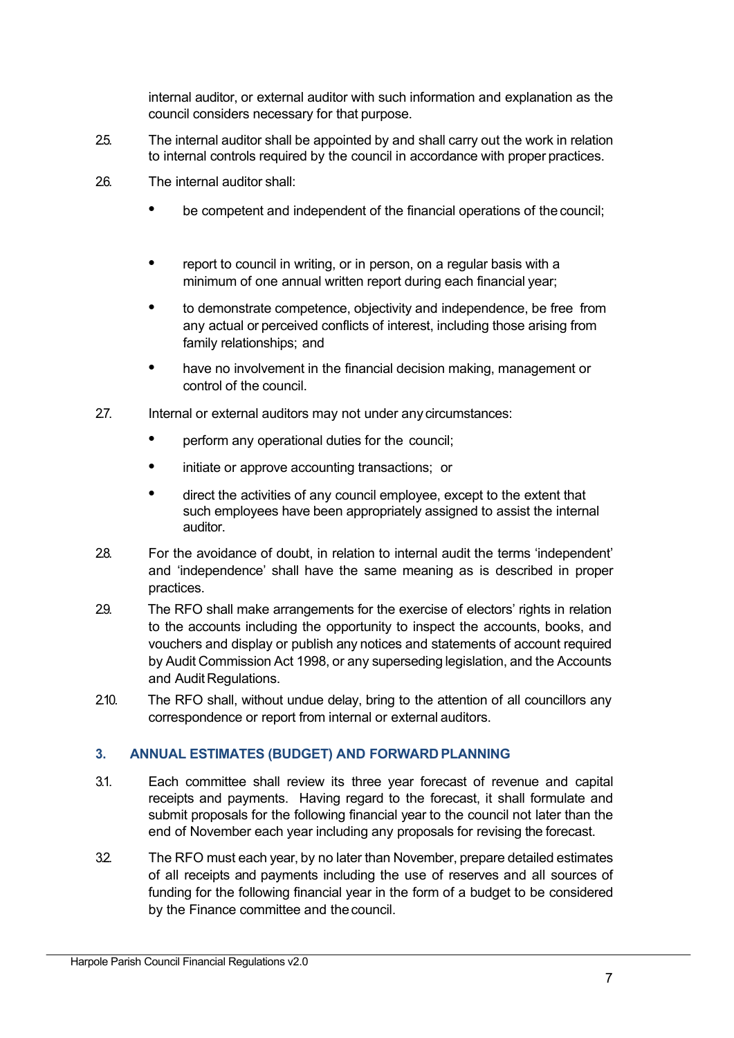internal auditor, or external auditor with such information and explanation as the council considers necessary for that purpose.

- 2.5. The internal auditor shall be appointed by and shall carry out the work in relation to internal controls required by the council in accordance with proper practices.
- 2.6. The internal auditor shall:
	- be competent and independent of the financial operations of the council:
	- report to council in writing, or in person, on a regular basis with a minimum of one annual written report during each financial year;
	- to demonstrate competence, objectivity and independence, be free from any actual or perceived conflicts of interest, including those arising from family relationships; and
	- have no involvement in the financial decision making, management or control of the council.
- 2.7. Internal or external auditors may not under any circumstances:
	- perform any operational duties for the council:
	- initiate or approve accounting transactions; or
	- direct the activities of any council employee, except to the extent that such employees have been appropriately assigned to assist the internal auditor.
- 2.8. For the avoidance of doubt, in relation to internal audit the terms 'independent' and 'independence' shall have the same meaning as is described in proper practices.
- 2.9. The RFO shall make arrangements for the exercise of electors' rights in relation to the accounts including the opportunity to inspect the accounts, books, and vouchers and display or publish any notices and statements of account required by Audit Commission Act 1998, or any superseding legislation, and the Accounts and Audit Regulations.
- 2.10. The RFO shall, without undue delay, bring to the attention of all councillors any correspondence or report from internal or external auditors.

## **3. ANNUAL ESTIMATES (BUDGET) AND FORWARD PLANNING**

- 3.1. Each committee shall review its three year forecast of revenue and capital receipts and payments. Having regard to the forecast, it shall formulate and submit proposals for the following financial year to the council not later than the end of November each year including any proposals for revising the forecast.
- 3.2. The RFO must each year, by no later than November, prepare detailed estimates of all receipts and payments including the use of reserves and all sources of funding for the following financial year in the form of a budget to be considered by the Finance committee and thecouncil.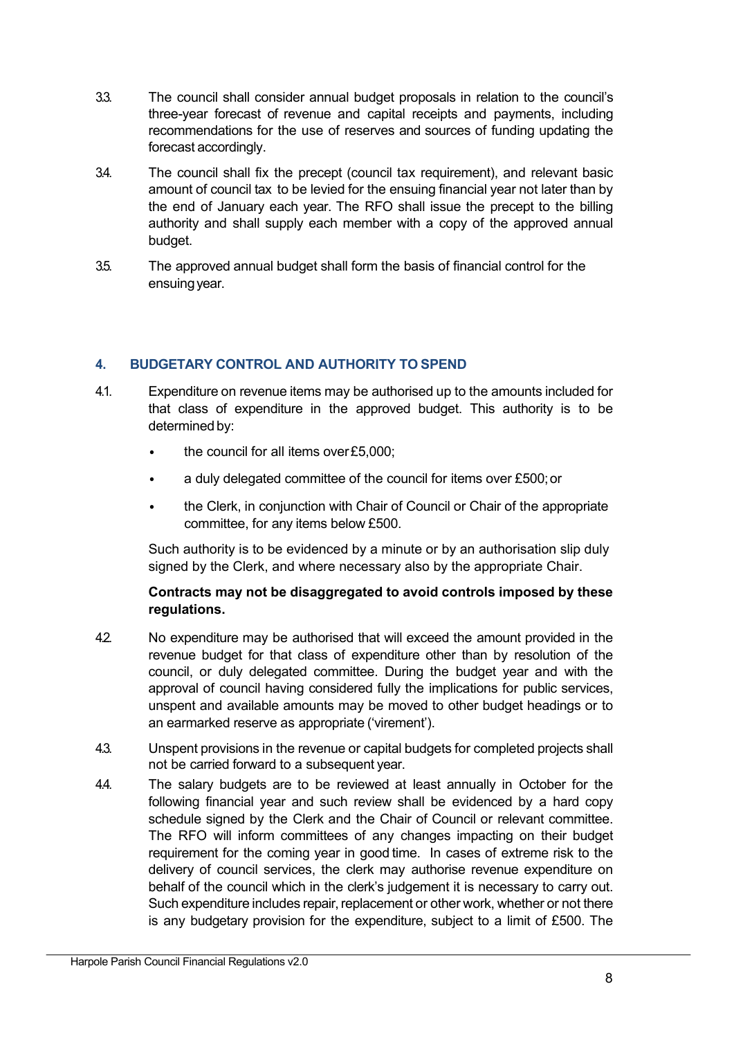- 3.3. The council shall consider annual budget proposals in relation to the council's three-year forecast of revenue and capital receipts and payments, including recommendations for the use of reserves and sources of funding updating the forecast accordingly.
- 3.4. The council shall fix the precept (council tax requirement), and relevant basic amount of council tax to be levied for the ensuing financial year not later than by the end of January each year. The RFO shall issue the precept to the billing authority and shall supply each member with a copy of the approved annual budget.
- 3.5. The approved annual budget shall form the basis of financial control for the ensuing year.

# **4. BUDGETARY CONTROL AND AUTHORITY TO SPEND**

- 4.1. Expenditure on revenue items may be authorised up to the amounts included for that class of expenditure in the approved budget. This authority is to be determined by:
	- the council for all items over£5,000;
	- a duly delegated committee of the council for items over £500;or
	- the Clerk, in conjunction with Chair of Council or Chair of the appropriate committee, for any items below £500.

Such authority is to be evidenced by a minute or by an authorisation slip duly signed by the Clerk, and where necessary also by the appropriate Chair.

#### **Contracts may not be disaggregated to avoid controls imposed by these regulations.**

- 42. No expenditure may be authorised that will exceed the amount provided in the revenue budget for that class of expenditure other than by resolution of the council, or duly delegated committee. During the budget year and with the approval of council having considered fully the implications for public services, unspent and available amounts may be moved to other budget headings or to an earmarked reserve as appropriate ('virement').
- 4.3. Unspent provisions in the revenue or capital budgets for completed projects shall not be carried forward to a subsequent year.
- 4.4. The salary budgets are to be reviewed at least annually in October for the following financial year and such review shall be evidenced by a hard copy schedule signed by the Clerk and the Chair of Council or relevant committee. The RFO will inform committees of any changes impacting on their budget requirement for the coming year in good time. In cases of extreme risk to the delivery of council services, the clerk may authorise revenue expenditure on behalf of the council which in the clerk's judgement it is necessary to carry out. Such expenditure includes repair, replacement or other work, whether or not there is any budgetary provision for the expenditure, subject to a limit of £500. The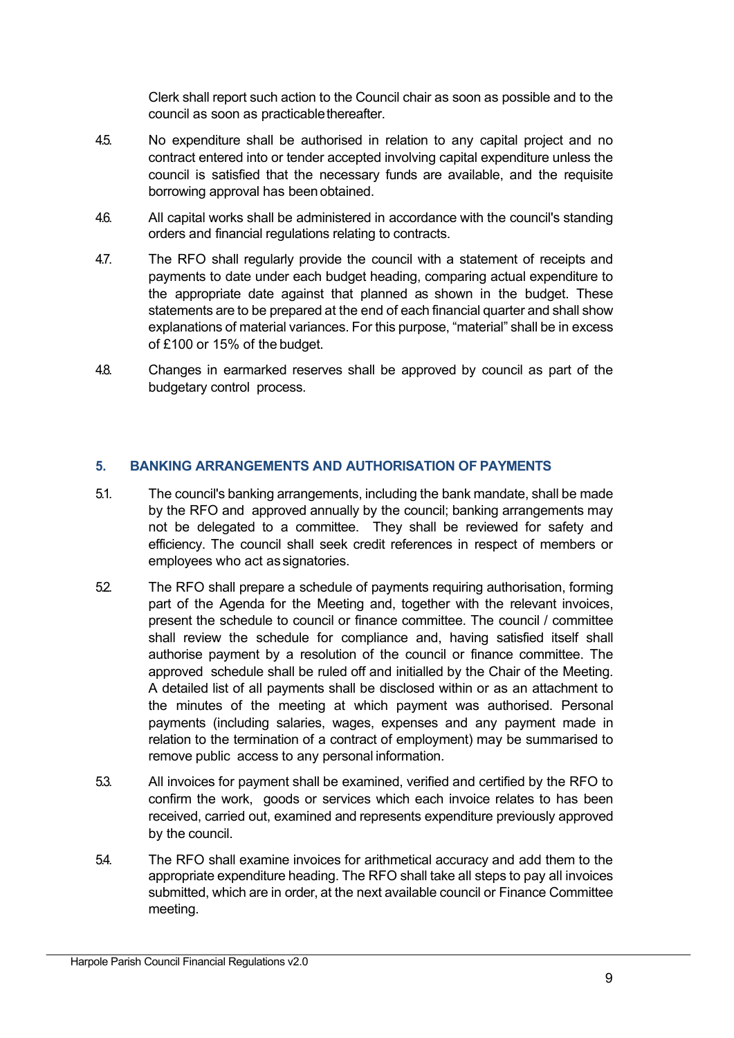Clerk shall report such action to the Council chair as soon as possible and to the council as soon as practicable thereafter.

- 4.5. No expenditure shall be authorised in relation to any capital project and no contract entered into or tender accepted involving capital expenditure unless the council is satisfied that the necessary funds are available, and the requisite borrowing approval has been obtained.
- 4.6. All capital works shall be administered in accordance with the council's standing orders and financial regulations relating to contracts.
- 4.7. The RFO shall regularly provide the council with a statement of receipts and payments to date under each budget heading, comparing actual expenditure to the appropriate date against that planned as shown in the budget. These statements are to be prepared at the end of each financial quarter and shall show explanations of material variances. For this purpose, "material" shall be in excess of £100 or 15% of the budget.
- 4.8. Changes in earmarked reserves shall be approved by council as part of the budgetary control process.

#### **5. BANKING ARRANGEMENTS AND AUTHORISATION OF PAYMENTS**

- 5.1. The council's banking arrangements, including the bank mandate, shall be made by the RFO and approved annually by the council; banking arrangements may not be delegated to a committee. They shall be reviewed for safety and efficiency. The council shall seek credit references in respect of members or employees who act assignatories.
- 5.2. The RFO shall prepare a schedule of payments requiring authorisation, forming part of the Agenda for the Meeting and, together with the relevant invoices, present the schedule to council or finance committee. The council / committee shall review the schedule for compliance and, having satisfied itself shall authorise payment by a resolution of the council or finance committee. The approved schedule shall be ruled off and initialled by the Chair of the Meeting. A detailed list of all payments shall be disclosed within or as an attachment to the minutes of the meeting at which payment was authorised. Personal payments (including salaries, wages, expenses and any payment made in relation to the termination of a contract of employment) may be summarised to remove public access to any personal information.
- 5.3. All invoices for payment shall be examined, verified and certified by the RFO to confirm the work, goods or services which each invoice relates to has been received, carried out, examined and represents expenditure previously approved by the council.
- 5.4. The RFO shall examine invoices for arithmetical accuracy and add them to the appropriate expenditure heading. The RFO shall take all steps to pay all invoices submitted, which are in order, at the next available council or Finance Committee meeting.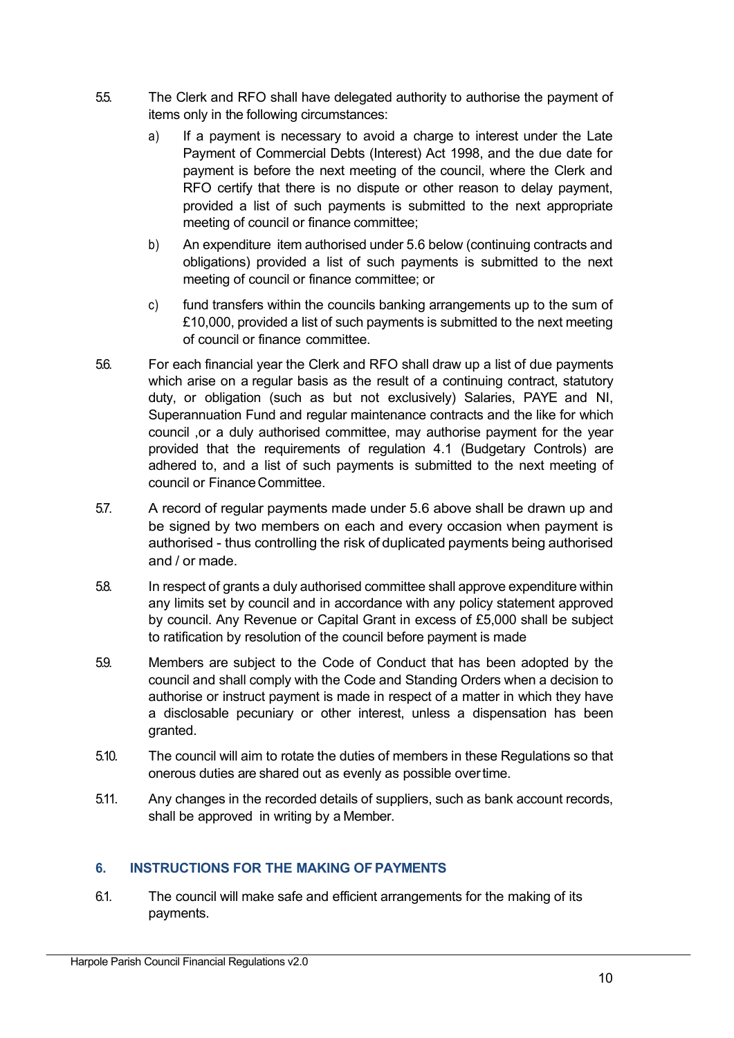- 5.5. The Clerk and RFO shall have delegated authority to authorise the payment of items only in the following circumstances:
	- a) If a payment is necessary to avoid a charge to interest under the Late Payment of Commercial Debts (Interest) Act 1998, and the due date for payment is before the next meeting of the council, where the Clerk and RFO certify that there is no dispute or other reason to delay payment, provided a list of such payments is submitted to the next appropriate meeting of council or finance committee;
	- b) An expenditure item authorised under 5.6 below (continuing contracts and obligations) provided a list of such payments is submitted to the next meeting of council or finance committee; or
	- c) fund transfers within the councils banking arrangements up to the sum of £10,000, provided a list of such payments is submitted to the next meeting of council or finance committee.
- 5.6. For each financial year the Clerk and RFO shall draw up a list of due payments which arise on a regular basis as the result of a continuing contract, statutory duty, or obligation (such as but not exclusively) Salaries, PAYE and NI, Superannuation Fund and regular maintenance contracts and the like for which council ,or a duly authorised committee, may authorise payment for the year provided that the requirements of regulation 4.1 (Budgetary Controls) are adhered to, and a list of such payments is submitted to the next meeting of council or Finance Committee.
- 5.7. A record of regular payments made under 5.6 above shall be drawn up and be signed by two members on each and every occasion when payment is authorised - thus controlling the risk of duplicated payments being authorised and / or made.
- 5.8. In respect of grants a duly authorised committee shall approve expenditure within any limits set by council and in accordance with any policy statement approved by council. Any Revenue or Capital Grant in excess of £5,000 shall be subject to ratification by resolution of the council before payment is made
- 5.9. Members are subject to the Code of Conduct that has been adopted by the council and shall comply with the Code and Standing Orders when a decision to authorise or instruct payment is made in respect of a matter in which they have a disclosable pecuniary or other interest, unless a dispensation has been granted.
- 5.10. The council will aim to rotate the duties of members in these Regulations so that onerous duties are shared out as evenly as possible overtime.
- 5.11. Any changes in the recorded details of suppliers, such as bank account records, shall be approved in writing by a Member.

## **6. INSTRUCTIONS FOR THE MAKING OF PAYMENTS**

6.1. The council will make safe and efficient arrangements for the making of its payments.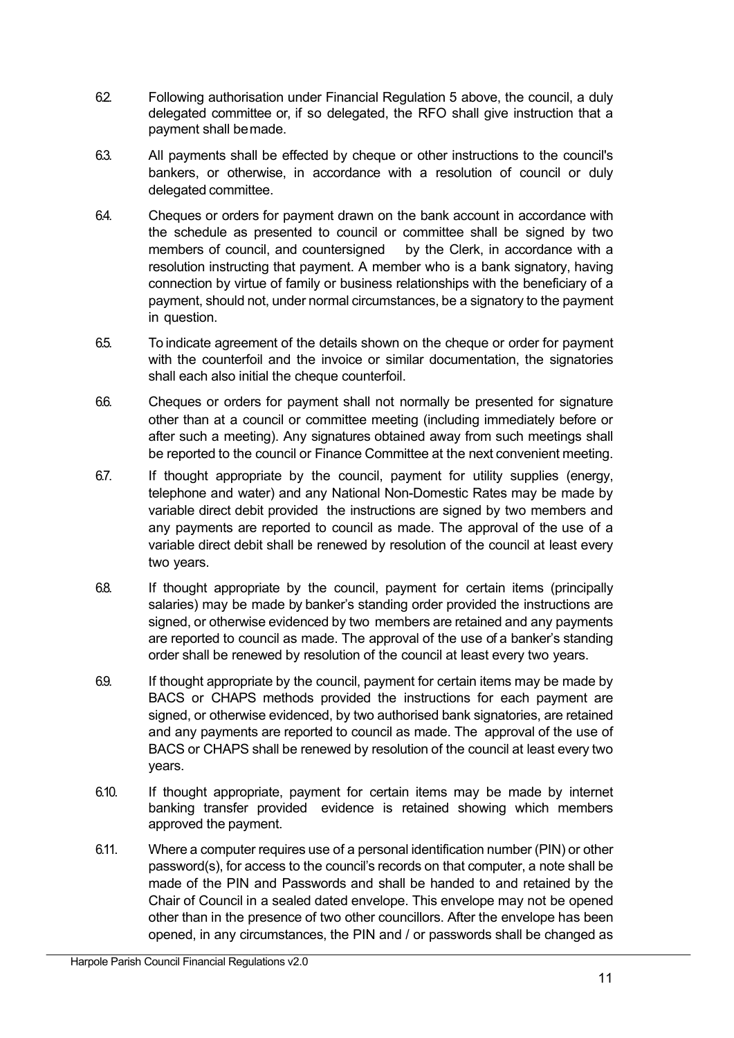- 6.2. Following authorisation under Financial Regulation 5 above, the council, a duly delegated committee or, if so delegated, the RFO shall give instruction that a payment shall bemade.
- 6.3. All payments shall be effected by cheque or other instructions to the council's bankers, or otherwise, in accordance with a resolution of council or duly delegated committee.
- 6.4. Cheques or orders for payment drawn on the bank account in accordance with the schedule as presented to council or committee shall be signed by two members of council, and countersigned by the Clerk, in accordance with a resolution instructing that payment. A member who is a bank signatory, having connection by virtue of family or business relationships with the beneficiary of a payment, should not, under normal circumstances, be a signatory to the payment in question.
- 6.5. To indicate agreement of the details shown on the cheque or order for payment with the counterfoil and the invoice or similar documentation, the signatories shall each also initial the cheque counterfoil.
- 6.6. Cheques or orders for payment shall not normally be presented for signature other than at a council or committee meeting (including immediately before or after such a meeting). Any signatures obtained away from such meetings shall be reported to the council or Finance Committee at the next convenient meeting.
- 6.7. If thought appropriate by the council, payment for utility supplies (energy, telephone and water) and any National Non-Domestic Rates may be made by variable direct debit provided the instructions are signed by two members and any payments are reported to council as made. The approval of the use of a variable direct debit shall be renewed by resolution of the council at least every two years.
- 6.8. If thought appropriate by the council, payment for certain items (principally salaries) may be made by banker's standing order provided the instructions are signed, or otherwise evidenced by two members are retained and any payments are reported to council as made. The approval of the use of a banker's standing order shall be renewed by resolution of the council at least every two years.
- 6.9. If thought appropriate by the council, payment for certain items may be made by BACS or CHAPS methods provided the instructions for each payment are signed, or otherwise evidenced, by two authorised bank signatories, are retained and any payments are reported to council as made. The approval of the use of BACS or CHAPS shall be renewed by resolution of the council at least every two years.
- 6.10. If thought appropriate, payment for certain items may be made by internet banking transfer provided evidence is retained showing which members approved the payment.
- 6.11. Where a computer requires use of a personal identification number (PIN) or other password(s), for access to the council's records on that computer, a note shall be made of the PIN and Passwords and shall be handed to and retained by the Chair of Council in a sealed dated envelope. This envelope may not be opened other than in the presence of two other councillors. After the envelope has been opened, in any circumstances, the PIN and / or passwords shall be changed as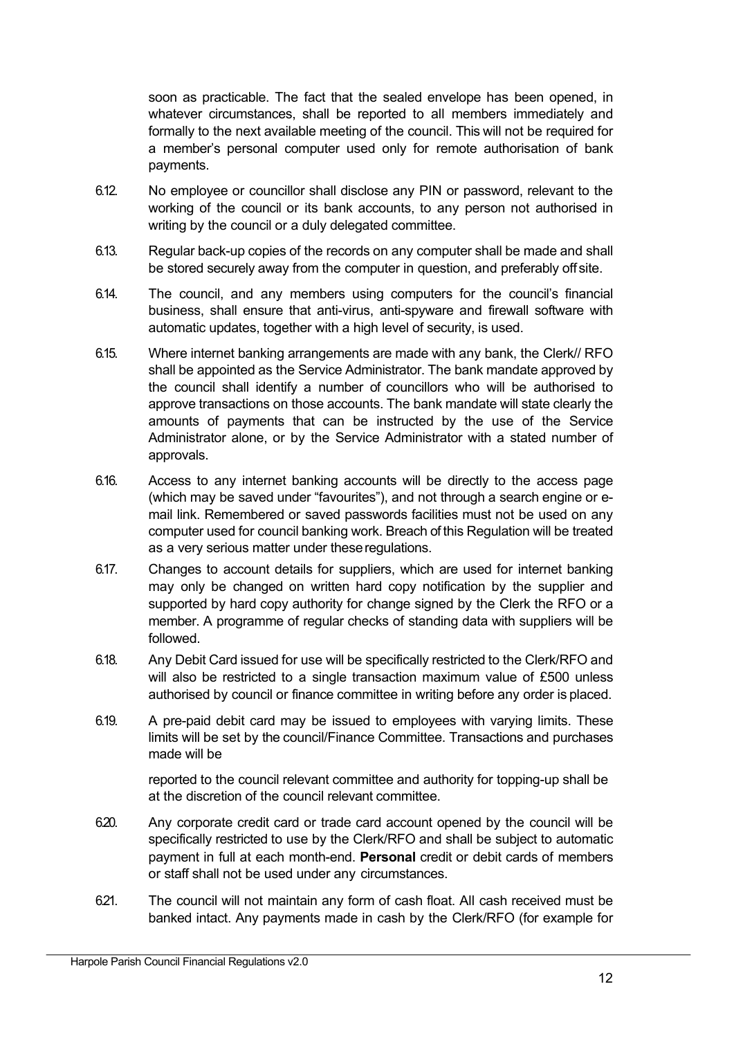soon as practicable. The fact that the sealed envelope has been opened, in whatever circumstances, shall be reported to all members immediately and formally to the next available meeting of the council. This will not be required for a member's personal computer used only for remote authorisation of bank payments.

- 6.12. No employee or councillor shall disclose any PIN or password, relevant to the working of the council or its bank accounts, to any person not authorised in writing by the council or a duly delegated committee.
- 6.13. Regular back-up copies of the records on any computer shall be made and shall be stored securely away from the computer in question, and preferably off site.
- 6.14. The council, and any members using computers for the council's financial business, shall ensure that anti-virus, anti-spyware and firewall software with automatic updates, together with a high level of security, is used.
- 6.15. Where internet banking arrangements are made with any bank, the Clerk// RFO shall be appointed as the Service Administrator. The bank mandate approved by the council shall identify a number of councillors who will be authorised to approve transactions on those accounts. The bank mandate will state clearly the amounts of payments that can be instructed by the use of the Service Administrator alone, or by the Service Administrator with a stated number of approvals.
- 6.16. Access to any internet banking accounts will be directly to the access page (which may be saved under "favourites"), and not through a search engine or email link. Remembered or saved passwords facilities must not be used on any computer used for council banking work. Breach of this Regulation will be treated as a very serious matter under theseregulations.
- 6.17. Changes to account details for suppliers, which are used for internet banking may only be changed on written hard copy notification by the supplier and supported by hard copy authority for change signed by the Clerk the RFO or a member. A programme of regular checks of standing data with suppliers will be followed.
- 6.18. Any Debit Card issued for use will be specifically restricted to the Clerk/RFO and will also be restricted to a single transaction maximum value of £500 unless authorised by council or finance committee in writing before any order is placed.
- 6.19. A pre-paid debit card may be issued to employees with varying limits. These limits will be set by the council/Finance Committee. Transactions and purchases made will be

reported to the council relevant committee and authority for topping-up shall be at the discretion of the council relevant committee.

- 6.20. Any corporate credit card or trade card account opened by the council will be specifically restricted to use by the Clerk/RFO and shall be subject to automatic payment in full at each month-end. **Personal** credit or debit cards of members or staff shall not be used under any circumstances.
- 6.21. The council will not maintain any form of cash float. All cash received must be banked intact. Any payments made in cash by the Clerk/RFO (for example for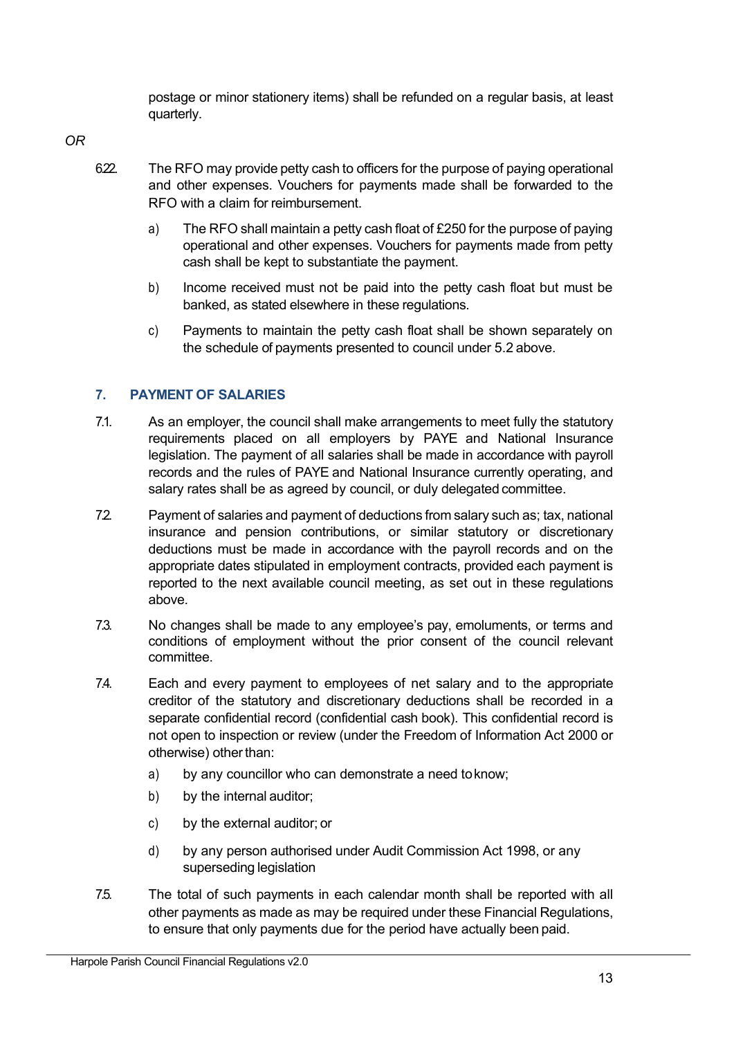postage or minor stationery items) shall be refunded on a regular basis, at least quarterly.

- *OR*
- 6.22. The RFO may provide petty cash to officers for the purpose of paying operational and other expenses. Vouchers for payments made shall be forwarded to the RFO with a claim for reimbursement.
	- a) The RFO shall maintain a petty cash float of £250 for the purpose of paying operational and other expenses. Vouchers for payments made from petty cash shall be kept to substantiate the payment.
	- b) Income received must not be paid into the petty cash float but must be banked, as stated elsewhere in these regulations.
	- c) Payments to maintain the petty cash float shall be shown separately on the schedule of payments presented to council under 5.2 above.

# **7. PAYMENT OF SALARIES**

- 7.1. As an employer, the council shall make arrangements to meet fully the statutory requirements placed on all employers by PAYE and National Insurance legislation. The payment of all salaries shall be made in accordance with payroll records and the rules of PAYE and National Insurance currently operating, and salary rates shall be as agreed by council, or duly delegated committee.
- 7.2. Payment of salaries and payment of deductions from salary such as; tax, national insurance and pension contributions, or similar statutory or discretionary deductions must be made in accordance with the payroll records and on the appropriate dates stipulated in employment contracts, provided each payment is reported to the next available council meeting, as set out in these regulations above.
- 7.3. No changes shall be made to any employee's pay, emoluments, or terms and conditions of employment without the prior consent of the council relevant committee.
- 7.4. Each and every payment to employees of net salary and to the appropriate creditor of the statutory and discretionary deductions shall be recorded in a separate confidential record (confidential cash book). This confidential record is not open to inspection or review (under the Freedom of Information Act 2000 or otherwise) other than:
	- a) by any councillor who can demonstrate a need toknow;
	- b) by the internal auditor:
	- c) by the external auditor; or
	- d) by any person authorised under Audit Commission Act 1998, or any superseding legislation
- 7.5. The total of such payments in each calendar month shall be reported with all other payments as made as may be required under these Financial Regulations, to ensure that only payments due for the period have actually been paid.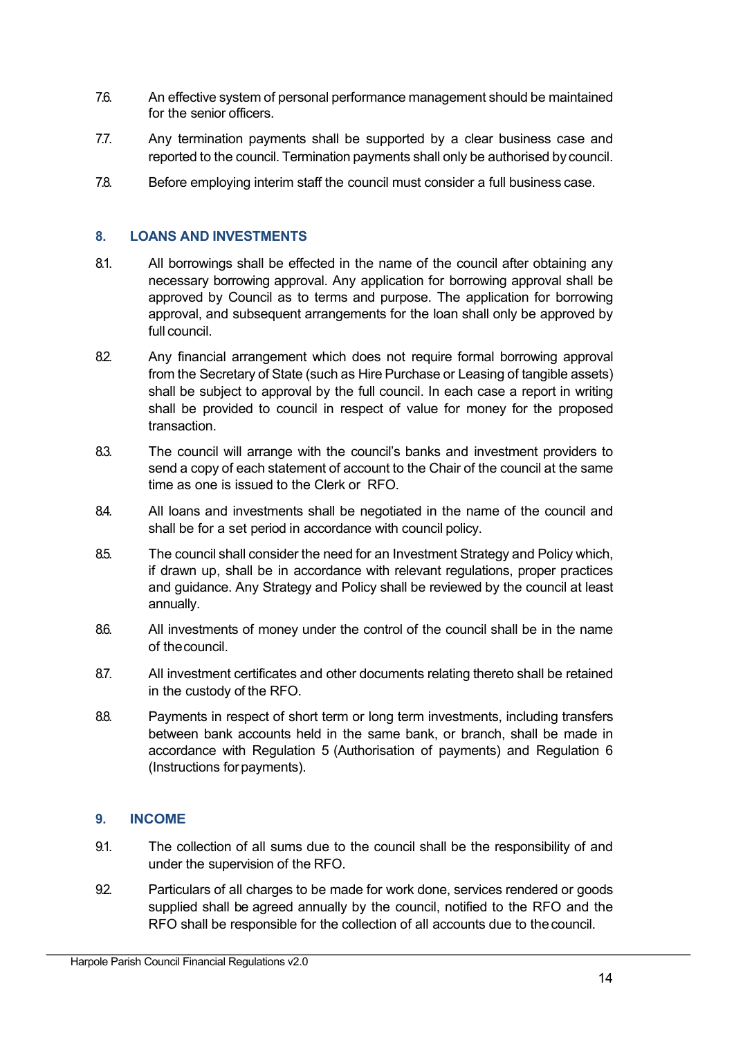- 7.6. An effective system of personal performance management should be maintained for the senior officers.
- 7.7. Any termination payments shall be supported by a clear business case and reported to the council. Termination payments shall only be authorised by council.
- 7.8. Before employing interim staff the council must consider a full business case.

### **8. LOANS AND INVESTMENTS**

- 8.1. All borrowings shall be effected in the name of the council after obtaining any necessary borrowing approval. Any application for borrowing approval shall be approved by Council as to terms and purpose. The application for borrowing approval, and subsequent arrangements for the loan shall only be approved by full council.
- 82. Any financial arrangement which does not require formal borrowing approval from the Secretary of State (such as Hire Purchase or Leasing of tangible assets) shall be subject to approval by the full council. In each case a report in writing shall be provided to council in respect of value for money for the proposed transaction.
- 8.3. The council will arrange with the council's banks and investment providers to send a copy of each statement of account to the Chair of the council at the same time as one is issued to the Clerk or RFO.
- 8.4. All loans and investments shall be negotiated in the name of the council and shall be for a set period in accordance with council policy.
- 8.5. The council shall consider the need for an Investment Strategy and Policy which, if drawn up, shall be in accordance with relevant regulations, proper practices and guidance. Any Strategy and Policy shall be reviewed by the council at least annually.
- 8.6. All investments of money under the control of the council shall be in the name of thecouncil.
- 8.7. All investment certificates and other documents relating thereto shall be retained in the custody of the RFO.
- 8.8. Payments in respect of short term or long term investments, including transfers between bank accounts held in the same bank, or branch, shall be made in accordance with Regulation 5 (Authorisation of payments) and Regulation 6 (Instructions forpayments).

#### **9. INCOME**

- 9.1. The collection of all sums due to the council shall be the responsibility of and under the supervision of the RFO.
- 9.2. Particulars of all charges to be made for work done, services rendered or goods supplied shall be agreed annually by the council, notified to the RFO and the RFO shall be responsible for the collection of all accounts due to thecouncil.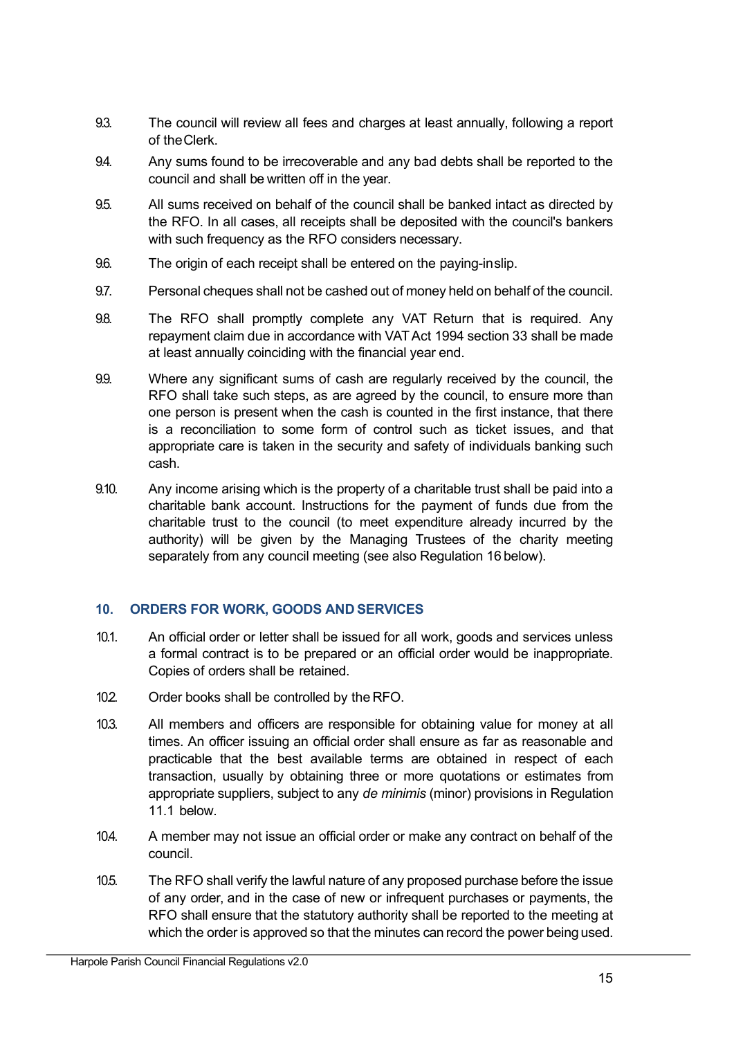- 9.3. The council will review all fees and charges at least annually, following a report of theClerk.
- 9.4. Any sums found to be irrecoverable and any bad debts shall be reported to the council and shall be written off in the year.
- 9.5. All sums received on behalf of the council shall be banked intact as directed by the RFO. In all cases, all receipts shall be deposited with the council's bankers with such frequency as the RFO considers necessary.
- 9.6. The origin of each receipt shall be entered on the paying-inslip.
- 9.7. Personal cheques shall not be cashed out of money held on behalf of the council.
- 9.8. The RFO shall promptly complete any VAT Return that is required. Any repayment claim due in accordance with VAT Act 1994 section 33 shall be made at least annually coinciding with the financial year end.
- 9.9. Where any significant sums of cash are regularly received by the council, the RFO shall take such steps, as are agreed by the council, to ensure more than one person is present when the cash is counted in the first instance, that there is a reconciliation to some form of control such as ticket issues, and that appropriate care is taken in the security and safety of individuals banking such cash.
- 9.10. Any income arising which is the property of a charitable trust shall be paid into a charitable bank account. Instructions for the payment of funds due from the charitable trust to the council (to meet expenditure already incurred by the authority) will be given by the Managing Trustees of the charity meeting separately from any council meeting (see also Regulation 16 below).

## **10. ORDERS FOR WORK, GOODS AND SERVICES**

- 10.1. An official order or letter shall be issued for all work, goods and services unless a formal contract is to be prepared or an official order would be inappropriate. Copies of orders shall be retained.
- 10.2. Order books shall be controlled by the RFO.
- 10.3. All members and officers are responsible for obtaining value for money at all times. An officer issuing an official order shall ensure as far as reasonable and practicable that the best available terms are obtained in respect of each transaction, usually by obtaining three or more quotations or estimates from appropriate suppliers, subject to any *de minimis* (minor) provisions in Regulation 11.1 below.
- 10.4. A member may not issue an official order or make any contract on behalf of the council.
- 10.5. The RFO shall verify the lawful nature of any proposed purchase before the issue of any order, and in the case of new or infrequent purchases or payments, the RFO shall ensure that the statutory authority shall be reported to the meeting at which the order is approved so that the minutes can record the power being used.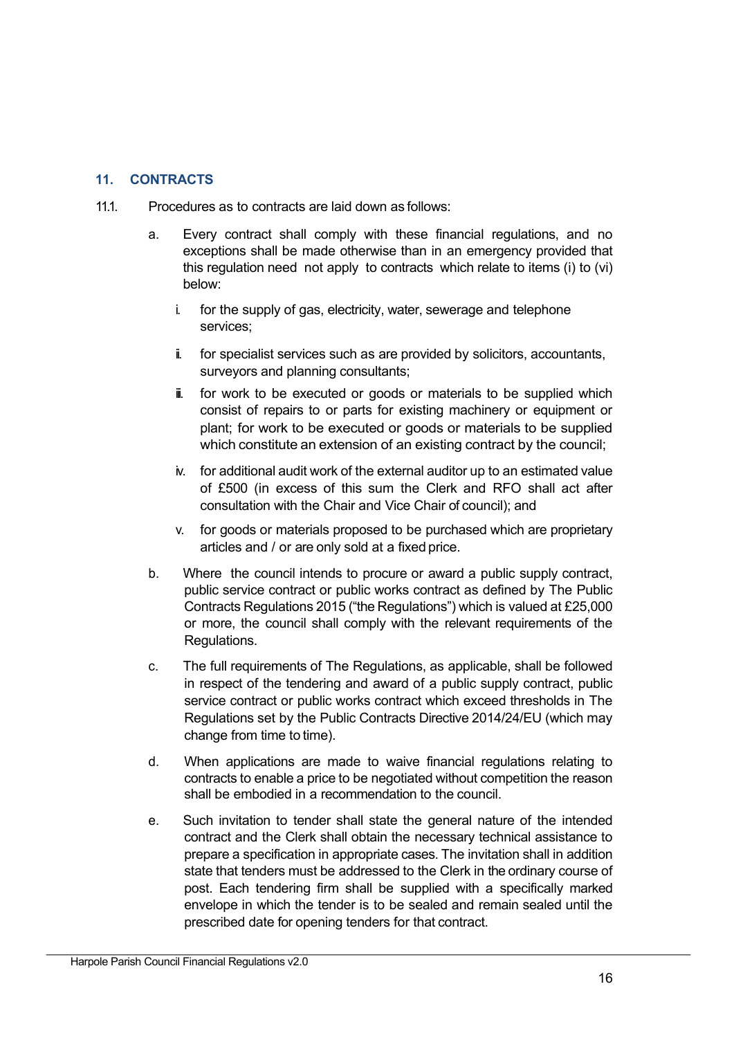#### **11. CONTRACTS**

- 11.1. Procedures as to contracts are laid down as follows:
	- a. Every contract shall comply with these financial regulations, and no exceptions shall be made otherwise than in an emergency provided that this regulation need not apply to contracts which relate to items (i) to (vi) below:
		- i. for the supply of gas, electricity, water, sewerage and telephone services;
		- ii. for specialist services such as are provided by solicitors, accountants, surveyors and planning consultants;
		- iii. for work to be executed or goods or materials to be supplied which consist of repairs to or parts for existing machinery or equipment or plant; for work to be executed or goods or materials to be supplied which constitute an extension of an existing contract by the council;
		- iv. for additional audit work of the external auditor up to an estimated value of £500 (in excess of this sum the Clerk and RFO shall act after consultation with the Chair and Vice Chair of council); and
		- v. for goods or materials proposed to be purchased which are proprietary articles and / or are only sold at a fixed price.
	- b. Where the council intends to procure or award a public supply contract, public service contract or public works contract as defined by The Public Contracts Regulations 2015 ("the Regulations") which is valued at £25,000 or more, the council shall comply with the relevant requirements of the Regulations.
	- c. The full requirements of The Regulations, as applicable, shall be followed in respect of the tendering and award of a public supply contract, public service contract or public works contract which exceed thresholds in The Regulations set by the Public Contracts Directive 2014/24/EU (which may change from time to time).
	- d. When applications are made to waive financial regulations relating to contracts to enable a price to be negotiated without competition the reason shall be embodied in a recommendation to the council.
	- e. Such invitation to tender shall state the general nature of the intended contract and the Clerk shall obtain the necessary technical assistance to prepare a specification in appropriate cases. The invitation shall in addition state that tenders must be addressed to the Clerk in the ordinary course of post. Each tendering firm shall be supplied with a specifically marked envelope in which the tender is to be sealed and remain sealed until the prescribed date for opening tenders for that contract.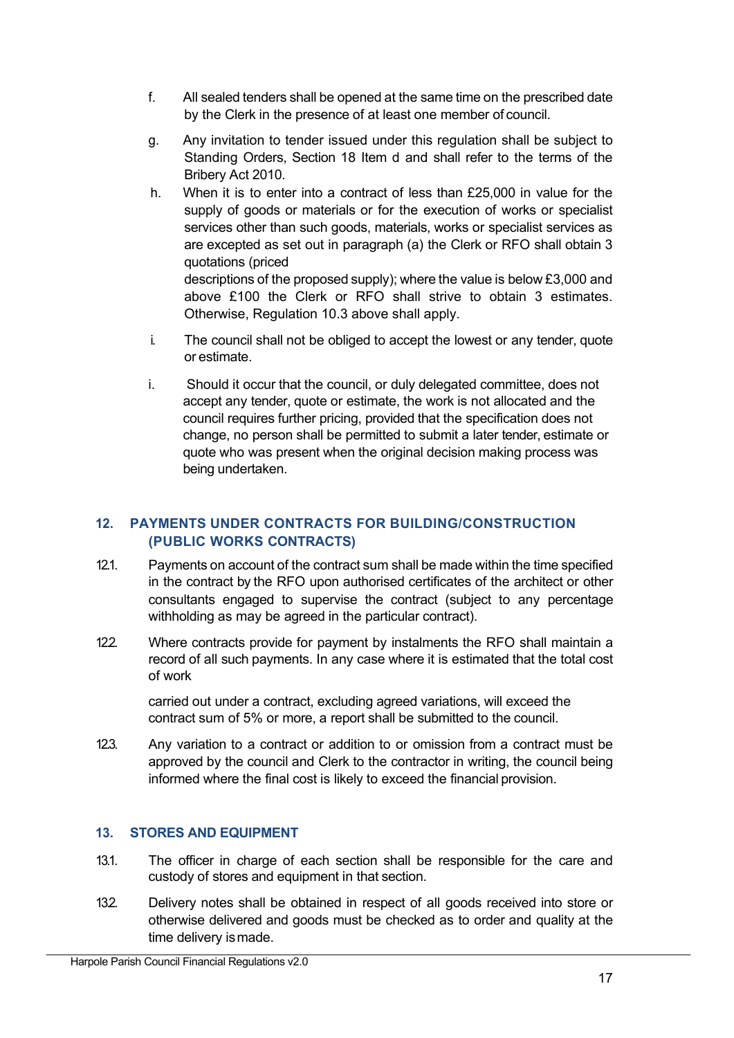- f. All sealed tenders shall be opened at the same time on the prescribed date by the Clerk in the presence of at least one member of council.
- g. Any invitation to tender issued under this regulation shall be subject to Standing Orders, Section 18 Item d and shall refer to the terms of the Bribery Act 2010.
- h. When it is to enter into a contract of less than £25,000 in value for the supply of goods or materials or for the execution of works or specialist services other than such goods, materials, works or specialist services as are excepted as set out in paragraph (a) the Clerk or RFO shall obtain 3 quotations (priced descriptions of the proposed supply); where the value is below £3,000 and above £100 the Clerk or RFO shall strive to obtain 3 estimates.
- i. The council shall not be obliged to accept the lowest or any tender, quote or estimate.
- i. Should it occur that the council, or duly delegated committee, does not accept any tender, quote or estimate, the work is not allocated and the council requires further pricing, provided that the specification does not change, no person shall be permitted to submit a later tender, estimate or quote who was present when the original decision making process was being undertaken.

# **12. PAYMENTS UNDER CONTRACTS FOR BUILDING/CONSTRUCTION (PUBLIC WORKS CONTRACTS)**

Otherwise, Regulation 10.3 above shall apply.

- 12.1. Payments on account of the contract sum shall be made within the time specified in the contract by the RFO upon authorised certificates of the architect or other consultants engaged to supervise the contract (subject to any percentage withholding as may be agreed in the particular contract).
- 12.2. Where contracts provide for payment by instalments the RFO shall maintain a record of all such payments. In any case where it is estimated that the total cost of work

carried out under a contract, excluding agreed variations, will exceed the contract sum of 5% or more, a report shall be submitted to the council.

12.3. Any variation to a contract or addition to or omission from a contract must be approved by the council and Clerk to the contractor in writing, the council being informed where the final cost is likely to exceed the financial provision.

## **13. STORES AND EQUIPMENT**

- 13.1. The officer in charge of each section shall be responsible for the care and custody of stores and equipment in that section.
- 13.2. Delivery notes shall be obtained in respect of all goods received into store or otherwise delivered and goods must be checked as to order and quality at the time delivery ismade.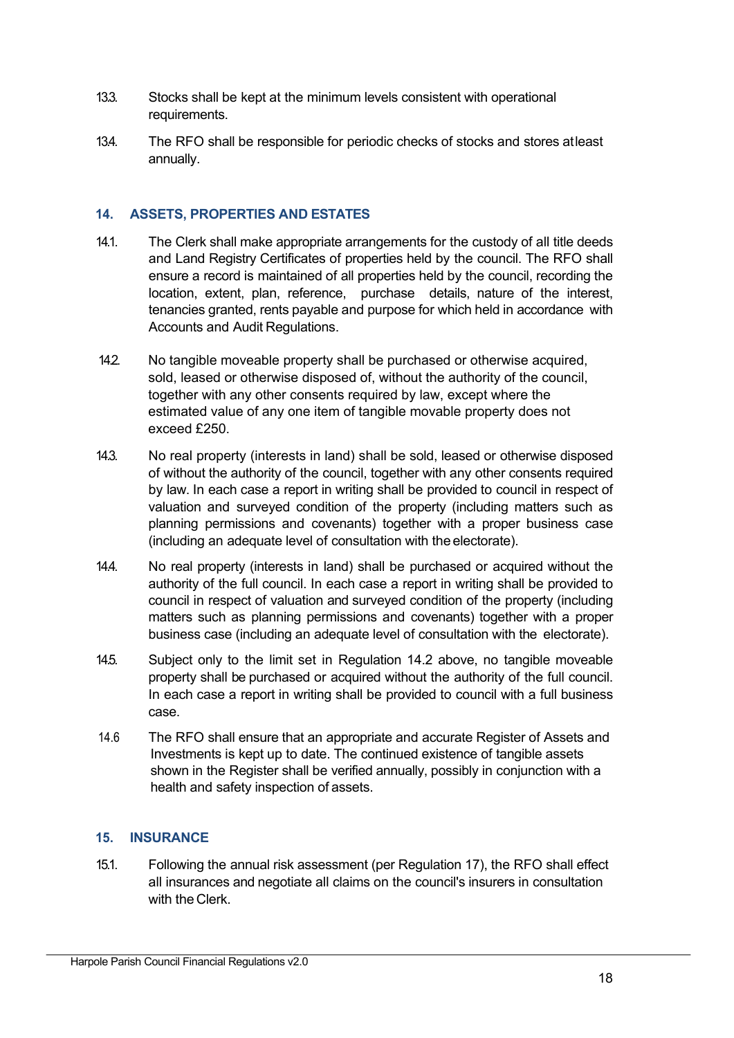- 13.3. Stocks shall be kept at the minimum levels consistent with operational requirements.
- 13.4. The RFO shall be responsible for periodic checks of stocks and stores atleast annually.

## **14. ASSETS, PROPERTIES AND ESTATES**

- 14.1. The Clerk shall make appropriate arrangements for the custody of all title deeds and Land Registry Certificates of properties held by the council. The RFO shall ensure a record is maintained of all properties held by the council, recording the location, extent, plan, reference, purchase details, nature of the interest, tenancies granted, rents payable and purpose for which held in accordance with Accounts and Audit Regulations.
- 14.2. No tangible moveable property shall be purchased or otherwise acquired, sold, leased or otherwise disposed of, without the authority of the council, together with any other consents required by law, except where the estimated value of any one item of tangible movable property does not exceed £250.
- 14.3. No real property (interests in land) shall be sold, leased or otherwise disposed of without the authority of the council, together with any other consents required by law. In each case a report in writing shall be provided to council in respect of valuation and surveyed condition of the property (including matters such as planning permissions and covenants) together with a proper business case (including an adequate level of consultation with the electorate).
- 14.4. No real property (interests in land) shall be purchased or acquired without the authority of the full council. In each case a report in writing shall be provided to council in respect of valuation and surveyed condition of the property (including matters such as planning permissions and covenants) together with a proper business case (including an adequate level of consultation with the electorate).
- 14.5. Subject only to the limit set in Regulation 14.2 above, no tangible moveable property shall be purchased or acquired without the authority of the full council. In each case a report in writing shall be provided to council with a full business case.
- 14.6 The RFO shall ensure that an appropriate and accurate Register of Assets and Investments is kept up to date. The continued existence of tangible assets shown in the Register shall be verified annually, possibly in conjunction with a health and safety inspection of assets.

## **15. INSURANCE**

15.1. Following the annual risk assessment (per Regulation 17), the RFO shall effect all insurances and negotiate all claims on the council's insurers in consultation with the Clerk.